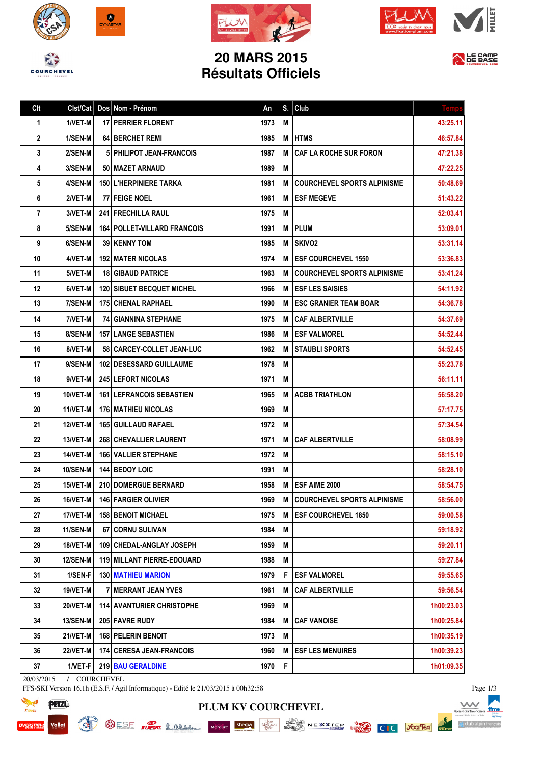







## **20 MARS 2015 Résultats Officiels**



| Clt | Clst/Cat        | Dos Nom - Prénom                     | An   | S. | Club                               | <b>Temp</b> |
|-----|-----------------|--------------------------------------|------|----|------------------------------------|-------------|
| 1   | 1/VET-M         | <b>17 PERRIER FLORENT</b>            | 1973 | М  |                                    | 43:25.11    |
| 2   | 1/SEN-M         | <b>64 I BERCHET REMI</b>             | 1985 | M  | <b>HTMS</b>                        | 46:57.84    |
| 3   | 2/SEN-M         | <b>5 PHILIPOT JEAN-FRANCOIS</b>      | 1987 | М  | <b>CAF LA ROCHE SUR FORON</b>      | 47:21.38    |
| 4   | 3/SEN-M         | 50   MAZET ARNAUD                    | 1989 | Μ  |                                    | 47:22.25    |
| 5   | 4/SEN-M         | 150 L'HERPINIERE TARKA               | 1981 | М  | <b>COURCHEVEL SPORTS ALPINISME</b> | 50:48.69    |
| 6   | 2/VET-M         | 77 FEIGE NOEL                        | 1961 | М  | <b>ESF MEGEVE</b>                  | 51:43.22    |
| 7   | 3/VET-M         | <b>241   FRECHILLA RAUL</b>          | 1975 | М  |                                    | 52:03.41    |
| 8   | 5/SEN-M         | <b>164   POLLET-VILLARD FRANCOIS</b> | 1991 | М  | <b>PLUM</b>                        | 53:09.01    |
| 9   | 6/SEN-M         | <b>39   KENNY TOM</b>                | 1985 | M  | <b>SKIVO2</b>                      | 53:31.14    |
| 10  | 4/VET-M         | <b>192 MATER NICOLAS</b>             | 1974 | М  | <b>ESF COURCHEVEL 1550</b>         | 53:36.83    |
| 11  | 5/VET-M         | <b>18 GIBAUD PATRICE</b>             | 1963 | М  | <b>COURCHEVEL SPORTS ALPINISME</b> | 53:41.24    |
| 12  | 6/VET-M         | <b>120   SIBUET BECQUET MICHEL</b>   | 1966 | М  | <b>ESF LES SAISIES</b>             | 54:11.92    |
| 13  | 7/SEN-M         | <b>175   CHENAL RAPHAEL</b>          | 1990 | M  | <b>ESC GRANIER TEAM BOAR</b>       | 54:36.78    |
| 14  | 7/VET-M         | <b>74 GIANNINA STEPHANE</b>          | 1975 | М  | <b>CAF ALBERTVILLE</b>             | 54:37.69    |
| 15  | 8/SEN-M         | <b>157 LANGE SEBASTIEN</b>           | 1986 | M  | ESF VALMOREL                       | 54:52.44    |
| 16  | 8/VET-M         | 58 CARCEY-COLLET JEAN-LUC            | 1962 | М  | <b>STAUBLI SPORTS</b>              | 54:52.45    |
| 17  | 9/SEN-M         | 102   DESESSARD GUILLAUME            | 1978 | М  |                                    | 55:23.78    |
| 18  | 9/VET-M         | 245 LEFORT NICOLAS                   | 1971 | М  |                                    | 56:11.11    |
| 19  | 10/VET-M        | <b>161   LEFRANCOIS SEBASTIEN</b>    | 1965 | М  | <b>ACBB TRIATHLON</b>              | 56:58.20    |
| 20  | 11/VET-M        | <b>176   MATHIEU NICOLAS</b>         | 1969 | М  |                                    | 57:17.75    |
| 21  | <b>12/VET-M</b> | <b>165 GUILLAUD RAFAEL</b>           | 1972 | М  |                                    | 57:34.54    |
| 22  | 13/VET-M        | <b>268 CHEVALLIER LAURENT</b>        | 1971 | М  | <b>CAF ALBERTVILLE</b>             | 58:08.99    |
| 23  | 14/VET-M        | <b>166 VALLIER STEPHANE</b>          | 1972 | М  |                                    | 58:15.10    |
| 24  | <b>10/SEN-M</b> | <b>144 BEDOY LOIC</b>                | 1991 | М  |                                    | 58:28.10    |
| 25  | 15/VET-M        | 210 DOMERGUE BERNARD                 | 1958 | М  | ESF AIME 2000                      | 58:54.75    |
| 26  | 16/VET-M        | 146 FARGIER OLIVIER                  | 1969 | M  | <b>COURCHEVEL SPORTS ALPINISME</b> | 58:56.00    |
| 27  | 17/VET-M        | 158 BENOIT MICHAEL                   | 1975 | M  | <b>ESF COURCHEVEL 1850</b>         | 59:00.58    |
| 28  | <b>11/SEN-M</b> | 67 CORNU SULIVAN                     | 1984 | Μ  |                                    | 59:18.92    |
| 29  | 18/VET-M        | 109 CHEDAL-ANGLAY JOSEPH             | 1959 | M  |                                    | 59:20.11    |
| 30  | <b>12/SEN-M</b> | 119   MILLANT PIERRE-EDOUARD         | 1988 | Μ  |                                    | 59:27.84    |
| 31  | 1/SEN-F         | <b>130 MATHIEU MARION</b>            | 1979 | F  | <b>ESF VALMOREL</b>                | 59:55.65    |
| 32  | 19/VET-M        | 7   MERRANT JEAN YVES                | 1961 | M  | <b>CAF ALBERTVILLE</b>             | 59:56.54    |
| 33  | 20/VET-M        | <b>114 AVANTURIER CHRISTOPHE</b>     | 1969 | M  |                                    | 1h00:23.03  |
| 34  | <b>13/SEN-M</b> | 205 FAVRE RUDY                       | 1984 | М  | <b>CAF VANOISE</b>                 | 1h00:25.84  |
| 35  | 21/VET-M        | 168 PELERIN BENOIT                   | 1973 | М  |                                    | 1h00:35.19  |
| 36  | <b>22/VET-M</b> | <b>174 CERESA JEAN-FRANCOIS</b>      | 1960 | Μ  | <b>ESF LES MENUIRES</b>            | 1h00:39.23  |
| 37  | 1/VET-F         | <b>219 BAU GERALDINE</b>             | 1970 | F  |                                    | 1h01:09.35  |

**PLUM KV COURCHEVEL**

20/03/2015 / COURCHEVEL

SURFAIN OF SHING

FFS-SKI Version 16.1h (E.S.F. / Agil Informatique) - Edité le 21/03/2015 à 00h32:58



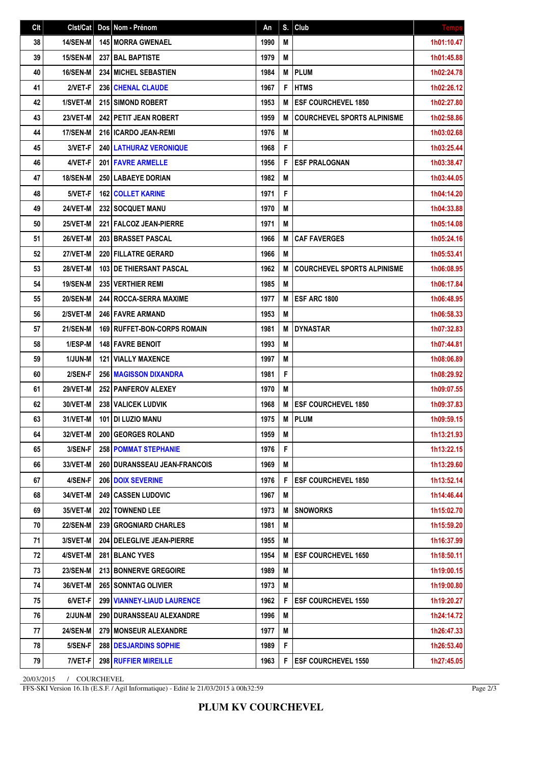| Clt | Clst/Cat        | Dos Nom - Prénom                     | An   | S. | Club                               | <b>Temps</b> |
|-----|-----------------|--------------------------------------|------|----|------------------------------------|--------------|
| 38  | <b>14/SEN-M</b> | 145 MORRA GWENAEL                    | 1990 | M  |                                    | 1h01:10.47   |
| 39  | 15/SEN-M        | <b>237 BAL BAPTISTE</b>              | 1979 | M  |                                    | 1h01:45.88   |
| 40  | <b>16/SEN-M</b> | <b>234 MICHEL SEBASTIEN</b>          | 1984 | M  | <b>PLUM</b>                        | 1h02:24.78   |
| 41  | 2/VET-F         | 236 CHENAL CLAUDE                    | 1967 | F  | <b>HTMS</b>                        | 1h02:26.12   |
| 42  | 1/SVET-M        | <b>215 SIMOND ROBERT</b>             | 1953 | M  | <b>ESF COURCHEVEL 1850</b>         | 1h02:27.80   |
| 43  | 23/VET-M        | <b>242 PETIT JEAN ROBERT</b>         | 1959 | M  | <b>COURCHEVEL SPORTS ALPINISME</b> | 1h02:58.86   |
| 44  | <b>17/SEN-M</b> | 216 ICARDO JEAN-REMI                 | 1976 | M  |                                    | 1h03:02.68   |
| 45  | 3/VET-F         | <b>240   LATHURAZ VERONIQUE</b>      | 1968 | F  |                                    | 1h03:25.44   |
| 46  | 4/VET-F         | 201 FAVRE ARMELLE                    | 1956 | F  | <b>ESF PRALOGNAN</b>               | 1h03:38.47   |
| 47  | <b>18/SEN-M</b> | <b>250 LABAEYE DORIAN</b>            | 1982 | M  |                                    | 1h03:44.05   |
| 48  | 5/VET-F         | <b>162 COLLET KARINE</b>             | 1971 | F  |                                    | 1h04:14.20   |
| 49  | 24/VET-M        | 232 SOCQUET MANU                     | 1970 | M  |                                    | 1h04:33.88   |
| 50  | <b>25/VET-M</b> | 221 FALCOZ JEAN-PIERRE               | 1971 | M  |                                    | 1h05:14.08   |
| 51  | 26/VET-M        | 203 BRASSET PASCAL                   | 1966 | M  | <b>CAF FAVERGES</b>                | 1h05:24.16   |
| 52  | 27/VET-M        | 220 FILLATRE GERARD                  | 1966 | M  |                                    | 1h05:53.41   |
| 53  | 28/VET-M        | <b>103 IDE THIERSANT PASCAL</b>      | 1962 | M  | <b>COURCHEVEL SPORTS ALPINISME</b> | 1h06:08.95   |
| 54  | <b>19/SEN-M</b> | <b>235 VERTHIER REMI</b>             | 1985 | M  |                                    | 1h06:17.84   |
| 55  | <b>20/SEN-M</b> | <b>244 ROCCA-SERRA MAXIME</b>        | 1977 | M  | <b>ESF ARC 1800</b>                | 1h06:48.95   |
| 56  | 2/SVET-M        | <b>246 FAVRE ARMAND</b>              | 1953 | M  |                                    | 1h06:58.33   |
| 57  | 21/SEN-M        | <b>169   RUFFET-BON-CORPS ROMAIN</b> | 1981 | M  | <b>DYNASTAR</b>                    | 1h07:32.83   |
| 58  | 1/ESP-M         | <b>148 FAVRE BENOIT</b>              | 1993 | M  |                                    | 1h07:44.81   |
| 59  | 1/JUN-M         | <b>121   VIALLY MAXENCE</b>          | 1997 | M  |                                    | 1h08:06.89   |
| 60  | 2/SEN-F         | <b>256 MAGISSON DIXANDRA</b>         | 1981 | F  |                                    | 1h08:29.92   |
| 61  | 29/VET-M        | 252 PANFEROV ALEXEY                  | 1970 | M  |                                    | 1h09:07.55   |
| 62  | 30/VET-M        | 238 VALICEK LUDVIK                   | 1968 | M  | <b>ESF COURCHEVEL 1850</b>         | 1h09:37.83   |
| 63  | 31/VET-M        | 101 DI LUZIO MANU                    | 1975 | M  | PLUM                               | 1h09:59.15   |
| 64  | 32/VET-M        | 200 GEORGES ROLAND                   | 1959 | M  |                                    | 1h13:21.93   |
| 65  | 3/SEN-F         | <b>258 POMMAT STEPHANIE</b>          | 1976 | F  |                                    | 1h13:22.15   |
| 66  | 33/VET-M        | <b>260 DURANSSEAU JEAN-FRANCOIS</b>  | 1969 | M  |                                    | 1h13:29.60   |
| 67  | 4/SEN-F         | <b>206 DOIX SEVERINE</b>             | 1976 | F  | <b>ESF COURCHEVEL 1850</b>         | 1h13:52.14   |
| 68  | 34/VET-M        | <b>249 CASSEN LUDOVIC</b>            | 1967 | M  |                                    | 1h14:46.44   |
| 69  | 35/VET-M        | 202   TOWNEND LEE                    | 1973 | M  | <b>SNOWORKS</b>                    | 1h15:02.70   |
| 70  | <b>22/SEN-M</b> | 239 GROGNIARD CHARLES                | 1981 | M  |                                    | 1h15:59.20   |
| 71  | 3/SVET-M        | 204   DELEGLIVE JEAN-PIERRE          | 1955 | M  |                                    | 1h16:37.99   |
| 72  | 4/SVET-M        | 281 BLANC YVES                       | 1954 | M  | <b>ESF COURCHEVEL 1650</b>         | 1h18:50.11   |
| 73  | <b>23/SEN-M</b> | 213 BONNERVE GREGOIRE                | 1989 | M  |                                    | 1h19:00.15   |
| 74  | 36/VET-M        | <b>265 SONNTAG OLIVIER</b>           | 1973 | М  |                                    | 1h19:00.80   |
| 75  | 6/VET-F         | 299 VIANNEY-LIAUD LAURENCE           | 1962 | F  | <b>ESF COURCHEVEL 1550</b>         | 1h19:20.27   |
| 76  | 2/JUN-M         | 290   DURANSSEAU ALEXANDRE           | 1996 | M  |                                    | 1h24:14.72   |
| 77  | <b>24/SEN-M</b> | 279 MONSEUR ALEXANDRE                | 1977 | M  |                                    | 1h26:47.33   |
| 78  | 5/SEN-F         | <b>288   DESJARDINS SOPHIE</b>       | 1989 | F  |                                    | 1h26:53.40   |
| 79  | 7/VET-F         | 298 RUFFIER MIREILLE                 | 1963 | F  | <b>ESF COURCHEVEL 1550</b>         | 1h27:45.05   |

20/03/2015 / COURCHEVEL

FFS-SKI Version 16.1h (E.S.F. / Agil Informatique) - Edité le 21/03/2015 à 00h32:59